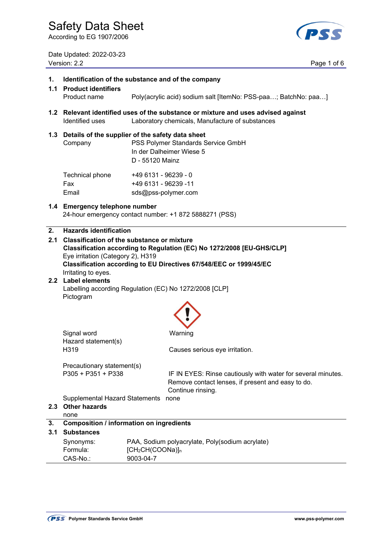**1. Identification of the substance and of the company** 

According to EG 1907/2006

Date Updated: 2022-03-23 Version: 2.2 Page 1 of 6



### **1.1 Product identifiers**  Product name Poly(acrylic acid) sodium salt [ItemNo: PSS-paa…; BatchNo: paa…] **1.2 Relevant identified uses of the substance or mixture and uses advised against**  Identified uses Laboratory chemicals, Manufacture of substances **1.3 Details of the supplier of the safety data sheet**  Company PSS Polymer Standards Service GmbH In der Dalheimer Wiese 5 D - 55120 Mainz Technical phone +49 6131 - 96239 - 0 Fax +49 6131 - 96239 -11 Email sds@pss-polymer.com **1.4 Emergency telephone number** 24-hour emergency contact number: +1 872 5888271 (PSS) **2. Hazards identification 2.1 Classification of the substance or mixture Classification according to Regulation (EC) No 1272/2008 [EU-GHS/CLP]** Eye irritation (Category 2), H319 **Classification according to EU Directives 67/548/EEC or 1999/45/EC** Irritating to eyes. **2.2 Label elements**  Labelling according Regulation (EC) No 1272/2008 [CLP] Pictogram **Signal word Warning**  Hazard statement(s) H319 Causes serious eye irritation. Precautionary statement(s) P305 + P351 + P338 IF IN EYES: Rinse cautiously with water for several minutes. Remove contact lenses, if present and easy to do. Continue rinsing. Supplemental Hazard Statements none **2.3 Other hazards**  none **3. Composition / information on ingredients 3.1 Substances**  Synonyms: Formula: PAA, Sodium polyacrylate, Poly(sodium acrylate) [CH2CH(COONa)]n CAS-No.: 9003-04-7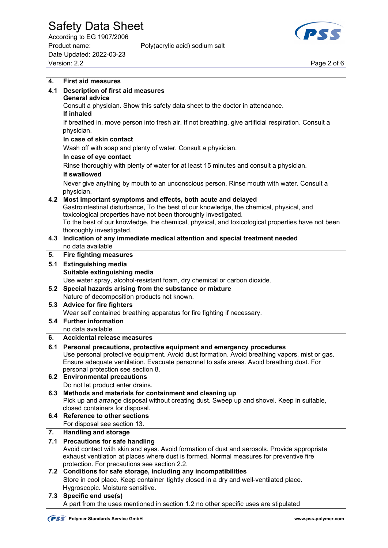According to EG 1907/2006 Product name: Poly(acrylic acid) sodium salt Date Updated: 2022-03-23 Page 2 of 6<br>Version: 2.2 Page 2 of 6



| 4.  | <b>First aid measures</b>                                                                                                                                  |  |  |  |
|-----|------------------------------------------------------------------------------------------------------------------------------------------------------------|--|--|--|
| 4.1 | <b>Description of first aid measures</b>                                                                                                                   |  |  |  |
|     | <b>General advice</b>                                                                                                                                      |  |  |  |
|     | Consult a physician. Show this safety data sheet to the doctor in attendance.                                                                              |  |  |  |
|     | If inhaled                                                                                                                                                 |  |  |  |
|     | If breathed in, move person into fresh air. If not breathing, give artificial respiration. Consult a                                                       |  |  |  |
|     | physician.                                                                                                                                                 |  |  |  |
|     | In case of skin contact                                                                                                                                    |  |  |  |
|     | Wash off with soap and plenty of water. Consult a physician.                                                                                               |  |  |  |
|     | In case of eye contact                                                                                                                                     |  |  |  |
|     | Rinse thoroughly with plenty of water for at least 15 minutes and consult a physician.                                                                     |  |  |  |
|     | If swallowed                                                                                                                                               |  |  |  |
|     | Never give anything by mouth to an unconscious person. Rinse mouth with water. Consult a                                                                   |  |  |  |
|     | physician.                                                                                                                                                 |  |  |  |
|     | 4.2 Most important symptoms and effects, both acute and delayed                                                                                            |  |  |  |
|     | Gastrointestinal disturbance, To the best of our knowledge, the chemical, physical, and                                                                    |  |  |  |
|     | toxicological properties have not been thoroughly investigated.                                                                                            |  |  |  |
|     | To the best of our knowledge, the chemical, physical, and toxicological properties have not been                                                           |  |  |  |
|     | thoroughly investigated.                                                                                                                                   |  |  |  |
| 4.3 | Indication of any immediate medical attention and special treatment needed                                                                                 |  |  |  |
| 5.  | no data available<br><b>Fire fighting measures</b>                                                                                                         |  |  |  |
|     |                                                                                                                                                            |  |  |  |
| 5.1 | <b>Extinguishing media</b>                                                                                                                                 |  |  |  |
|     | Suitable extinguishing media<br>Use water spray, alcohol-resistant foam, dry chemical or carbon dioxide.                                                   |  |  |  |
| 5.2 | Special hazards arising from the substance or mixture                                                                                                      |  |  |  |
|     | Nature of decomposition products not known.                                                                                                                |  |  |  |
| 5.3 | <b>Advice for fire fighters</b>                                                                                                                            |  |  |  |
|     | Wear self contained breathing apparatus for fire fighting if necessary.                                                                                    |  |  |  |
|     | 5.4 Further information                                                                                                                                    |  |  |  |
|     | no data available                                                                                                                                          |  |  |  |
| 6.  | <b>Accidental release measures</b>                                                                                                                         |  |  |  |
| 6.1 | Personal precautions, protective equipment and emergency procedures                                                                                        |  |  |  |
|     | Use personal protective equipment. Avoid dust formation. Avoid breathing vapors, mist or gas.                                                              |  |  |  |
|     | Ensure adequate ventilation. Evacuate personnel to safe areas. Avoid breathing dust. For                                                                   |  |  |  |
|     | personal protection see section 8.                                                                                                                         |  |  |  |
|     | 6.2 Environmental precautions                                                                                                                              |  |  |  |
| 6.3 | Do not let product enter drains.<br>Methods and materials for containment and cleaning up                                                                  |  |  |  |
|     | Pick up and arrange disposal without creating dust. Sweep up and shovel. Keep in suitable,                                                                 |  |  |  |
|     | closed containers for disposal.                                                                                                                            |  |  |  |
|     | 6.4 Reference to other sections                                                                                                                            |  |  |  |
|     | For disposal see section 13.                                                                                                                               |  |  |  |
| 7.  | <b>Handling and storage</b>                                                                                                                                |  |  |  |
| 7.1 | <b>Precautions for safe handling</b>                                                                                                                       |  |  |  |
|     | Avoid contact with skin and eyes. Avoid formation of dust and aerosols. Provide appropriate                                                                |  |  |  |
|     | exhaust ventilation at places where dust is formed. Normal measures for preventive fire                                                                    |  |  |  |
|     | protection. For precautions see section 2.2.                                                                                                               |  |  |  |
|     | 7.2 Conditions for safe storage, including any incompatibilities<br>Store in cool place. Keep container tightly closed in a dry and well-ventilated place. |  |  |  |
|     | Hygroscopic. Moisture sensitive.                                                                                                                           |  |  |  |
|     | 7.3 Specific end use(s)                                                                                                                                    |  |  |  |
|     | A part from the uses mentioned in section 1.2 no other specific uses are stipulated                                                                        |  |  |  |
|     |                                                                                                                                                            |  |  |  |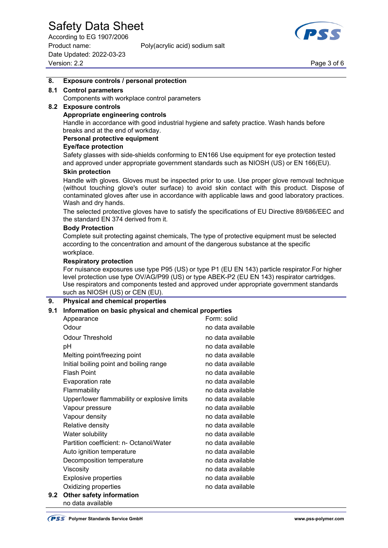According to EG 1907/2006 Product name: Poly(acrylic acid) sodium salt Date Updated: 2022-03-23 Page 3 of 6<br>Version: 2.2 Page 3 of 6



#### **8. Exposure controls / personal protection**

#### **8.1 Control parameters**

Components with workplace control parameters

### **8.2 Exposure controls**

#### **Appropriate engineering controls**

 Handle in accordance with good industrial hygiene and safety practice. Wash hands before breaks and at the end of workday.

#### **Personal protective equipment**

#### **Eye/face protection**

 Safety glasses with side-shields conforming to EN166 Use equipment for eye protection tested and approved under appropriate government standards such as NIOSH (US) or EN 166(EU).

#### **Skin protection**

 Handle with gloves. Gloves must be inspected prior to use. Use proper glove removal technique (without touching glove's outer surface) to avoid skin contact with this product. Dispose of contaminated gloves after use in accordance with applicable laws and good laboratory practices. Wash and dry hands.

 The selected protective gloves have to satisfy the specifications of EU Directive 89/686/EEC and the standard EN 374 derived from it.

#### **Body Protection**

 Complete suit protecting against chemicals, The type of protective equipment must be selected according to the concentration and amount of the dangerous substance at the specific workplace.

#### **Respiratory protection**

 For nuisance exposures use type P95 (US) or type P1 (EU EN 143) particle respirator.For higher level protection use type OV/AG/P99 (US) or type ABEK-P2 (EU EN 143) respirator cartridges. Use respirators and components tested and approved under appropriate government standards such as NIOSH (US) or CEN (EU).

#### **9. Physical and chemical properties**

#### **9.1 Information on basic physical and chemical properties**

|     | Appearance                                   | Form: solid       |
|-----|----------------------------------------------|-------------------|
|     | Odour                                        | no data available |
|     | Odour Threshold                              | no data available |
|     | рH                                           | no data available |
|     | Melting point/freezing point                 | no data available |
|     | Initial boiling point and boiling range      | no data available |
|     | <b>Flash Point</b>                           | no data available |
|     | <b>Evaporation rate</b>                      | no data available |
|     | Flammability                                 | no data available |
|     | Upper/lower flammability or explosive limits | no data available |
|     | Vapour pressure                              | no data available |
|     | Vapour density                               | no data available |
|     | Relative density                             | no data available |
|     | Water solubility                             | no data available |
|     | Partition coefficient: n- Octanol/Water      | no data available |
|     | Auto ignition temperature                    | no data available |
|     | Decomposition temperature                    | no data available |
|     | Viscosity                                    | no data available |
|     | <b>Explosive properties</b>                  | no data available |
|     | Oxidizing properties                         | no data available |
| 9.2 | Other safety information                     |                   |

no data available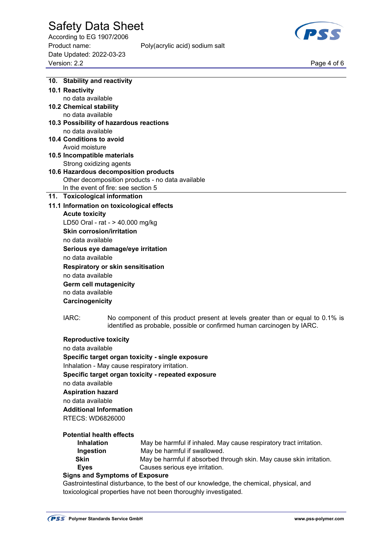According to EG 1907/2006 Product name: Poly(acrylic acid) sodium salt Date Updated: 2022-03-23 Page 4 of 6<br>Version: 2.2 Page 4 of 6



| 10. Stability and reactivity                                                            |                                                                                                                                                            |  |  |  |
|-----------------------------------------------------------------------------------------|------------------------------------------------------------------------------------------------------------------------------------------------------------|--|--|--|
| 10.1 Reactivity                                                                         |                                                                                                                                                            |  |  |  |
| no data available                                                                       |                                                                                                                                                            |  |  |  |
| 10.2 Chemical stability                                                                 |                                                                                                                                                            |  |  |  |
| no data available                                                                       |                                                                                                                                                            |  |  |  |
| 10.3 Possibility of hazardous reactions                                                 |                                                                                                                                                            |  |  |  |
| no data available                                                                       |                                                                                                                                                            |  |  |  |
| 10.4 Conditions to avoid                                                                |                                                                                                                                                            |  |  |  |
| Avoid moisture                                                                          |                                                                                                                                                            |  |  |  |
| 10.5 Incompatible materials                                                             |                                                                                                                                                            |  |  |  |
| Strong oxidizing agents                                                                 |                                                                                                                                                            |  |  |  |
| 10.6 Hazardous decomposition products                                                   |                                                                                                                                                            |  |  |  |
| Other decomposition products - no data available                                        |                                                                                                                                                            |  |  |  |
| In the event of fire: see section 5                                                     |                                                                                                                                                            |  |  |  |
| 11. Toxicological information                                                           |                                                                                                                                                            |  |  |  |
|                                                                                         |                                                                                                                                                            |  |  |  |
| 11.1 Information on toxicological effects                                               |                                                                                                                                                            |  |  |  |
| <b>Acute toxicity</b>                                                                   |                                                                                                                                                            |  |  |  |
| LD50 Oral - rat - > 40.000 mg/kg                                                        |                                                                                                                                                            |  |  |  |
| <b>Skin corrosion/irritation</b>                                                        |                                                                                                                                                            |  |  |  |
| no data available                                                                       |                                                                                                                                                            |  |  |  |
| Serious eye damage/eye irritation                                                       |                                                                                                                                                            |  |  |  |
| no data available                                                                       |                                                                                                                                                            |  |  |  |
| <b>Respiratory or skin sensitisation</b>                                                |                                                                                                                                                            |  |  |  |
| no data available                                                                       |                                                                                                                                                            |  |  |  |
| <b>Germ cell mutagenicity</b>                                                           |                                                                                                                                                            |  |  |  |
| no data available                                                                       |                                                                                                                                                            |  |  |  |
| Carcinogenicity                                                                         |                                                                                                                                                            |  |  |  |
|                                                                                         |                                                                                                                                                            |  |  |  |
| IARC:                                                                                   | No component of this product present at levels greater than or equal to 0.1% is<br>identified as probable, possible or confirmed human carcinogen by IARC. |  |  |  |
|                                                                                         |                                                                                                                                                            |  |  |  |
| <b>Reproductive toxicity</b>                                                            |                                                                                                                                                            |  |  |  |
| no data available                                                                       |                                                                                                                                                            |  |  |  |
| Specific target organ toxicity - single exposure                                        |                                                                                                                                                            |  |  |  |
| Inhalation - May cause respiratory irritation.                                          |                                                                                                                                                            |  |  |  |
|                                                                                         | Specific target organ toxicity - repeated exposure                                                                                                         |  |  |  |
|                                                                                         |                                                                                                                                                            |  |  |  |
| no data available                                                                       |                                                                                                                                                            |  |  |  |
| <b>Aspiration hazard</b>                                                                |                                                                                                                                                            |  |  |  |
| no data available                                                                       |                                                                                                                                                            |  |  |  |
| <b>Additional Information</b>                                                           |                                                                                                                                                            |  |  |  |
| RTECS: WD6826000                                                                        |                                                                                                                                                            |  |  |  |
|                                                                                         |                                                                                                                                                            |  |  |  |
| <b>Potential health effects</b>                                                         |                                                                                                                                                            |  |  |  |
| <b>Inhalation</b>                                                                       | May be harmful if inhaled. May cause respiratory tract irritation.                                                                                         |  |  |  |
| Ingestion                                                                               | May be harmful if swallowed.                                                                                                                               |  |  |  |
| <b>Skin</b>                                                                             | May be harmful if absorbed through skin. May cause skin irritation.                                                                                        |  |  |  |
| <b>Eyes</b>                                                                             | Causes serious eye irritation.                                                                                                                             |  |  |  |
| <b>Signs and Symptoms of Exposure</b>                                                   |                                                                                                                                                            |  |  |  |
| Gastrointestinal disturbance, to the best of our knowledge, the chemical, physical, and |                                                                                                                                                            |  |  |  |
|                                                                                         | toxicological properties have not been thoroughly investigated.                                                                                            |  |  |  |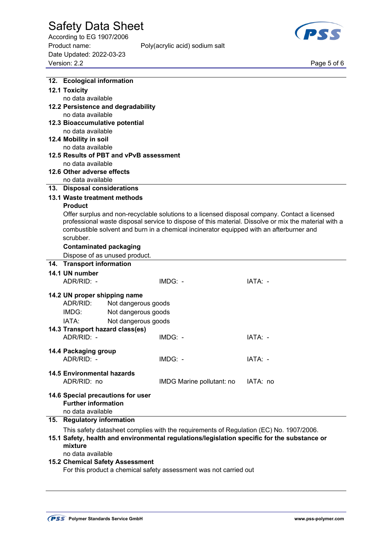According to EG 1907/2006 Product name: Poly(acrylic acid) sodium salt Date Updated: 2022-03-23 Page 5 of 6<br>Version: 2.2 Page 5 of 6





| 12. Ecological information                                                                  |                                                                                                                                                                                                 |          |  |  |  |  |
|---------------------------------------------------------------------------------------------|-------------------------------------------------------------------------------------------------------------------------------------------------------------------------------------------------|----------|--|--|--|--|
| <b>12.1 Toxicity</b>                                                                        |                                                                                                                                                                                                 |          |  |  |  |  |
| no data available                                                                           |                                                                                                                                                                                                 |          |  |  |  |  |
| 12.2 Persistence and degradability                                                          |                                                                                                                                                                                                 |          |  |  |  |  |
| no data available                                                                           |                                                                                                                                                                                                 |          |  |  |  |  |
| 12.3 Bioaccumulative potential                                                              |                                                                                                                                                                                                 |          |  |  |  |  |
| no data available                                                                           |                                                                                                                                                                                                 |          |  |  |  |  |
| 12.4 Mobility in soil                                                                       |                                                                                                                                                                                                 |          |  |  |  |  |
| no data available                                                                           |                                                                                                                                                                                                 |          |  |  |  |  |
| 12.5 Results of PBT and vPvB assessment                                                     |                                                                                                                                                                                                 |          |  |  |  |  |
| no data available                                                                           |                                                                                                                                                                                                 |          |  |  |  |  |
| 12.6 Other adverse effects                                                                  |                                                                                                                                                                                                 |          |  |  |  |  |
| no data available                                                                           |                                                                                                                                                                                                 |          |  |  |  |  |
| 13. Disposal considerations                                                                 |                                                                                                                                                                                                 |          |  |  |  |  |
| 13.1 Waste treatment methods                                                                |                                                                                                                                                                                                 |          |  |  |  |  |
| <b>Product</b>                                                                              |                                                                                                                                                                                                 |          |  |  |  |  |
|                                                                                             | Offer surplus and non-recyclable solutions to a licensed disposal company. Contact a licensed                                                                                                   |          |  |  |  |  |
|                                                                                             | professional waste disposal service to dispose of this material. Dissolve or mix the material with a<br>combustible solvent and burn in a chemical incinerator equipped with an afterburner and |          |  |  |  |  |
| scrubber.                                                                                   |                                                                                                                                                                                                 |          |  |  |  |  |
|                                                                                             |                                                                                                                                                                                                 |          |  |  |  |  |
| <b>Contaminated packaging</b>                                                               |                                                                                                                                                                                                 |          |  |  |  |  |
| Dispose of as unused product.                                                               |                                                                                                                                                                                                 |          |  |  |  |  |
| 14. Transport information                                                                   |                                                                                                                                                                                                 |          |  |  |  |  |
| 14.1 UN number                                                                              |                                                                                                                                                                                                 |          |  |  |  |  |
| ADR/RID: -                                                                                  | $IMDG: -$                                                                                                                                                                                       | IATA: -  |  |  |  |  |
| 14.2 UN proper shipping name                                                                |                                                                                                                                                                                                 |          |  |  |  |  |
| ADR/RID:<br>Not dangerous goods                                                             |                                                                                                                                                                                                 |          |  |  |  |  |
| IMDG:<br>Not dangerous goods                                                                |                                                                                                                                                                                                 |          |  |  |  |  |
| IATA:<br>Not dangerous goods                                                                |                                                                                                                                                                                                 |          |  |  |  |  |
| 14.3 Transport hazard class(es)                                                             |                                                                                                                                                                                                 |          |  |  |  |  |
| ADR/RID: -                                                                                  | $IMDG: -$                                                                                                                                                                                       | IATA: -  |  |  |  |  |
|                                                                                             |                                                                                                                                                                                                 |          |  |  |  |  |
| 14.4 Packaging group                                                                        |                                                                                                                                                                                                 |          |  |  |  |  |
| ADR/RID: -                                                                                  | $IMDG: -$                                                                                                                                                                                       | IATA: -  |  |  |  |  |
| <b>14.5 Environmental hazards</b>                                                           |                                                                                                                                                                                                 |          |  |  |  |  |
| ADR/RID: no                                                                                 |                                                                                                                                                                                                 | IATA: no |  |  |  |  |
|                                                                                             | IMDG Marine pollutant: no                                                                                                                                                                       |          |  |  |  |  |
| 14.6 Special precautions for user                                                           |                                                                                                                                                                                                 |          |  |  |  |  |
| <b>Further information</b>                                                                  |                                                                                                                                                                                                 |          |  |  |  |  |
| no data available                                                                           |                                                                                                                                                                                                 |          |  |  |  |  |
| 15. Regulatory information                                                                  |                                                                                                                                                                                                 |          |  |  |  |  |
|                                                                                             | This safety datasheet complies with the requirements of Regulation (EC) No. 1907/2006.                                                                                                          |          |  |  |  |  |
| 15.1 Safety, health and environmental regulations/legislation specific for the substance or |                                                                                                                                                                                                 |          |  |  |  |  |
| mixture                                                                                     |                                                                                                                                                                                                 |          |  |  |  |  |
| no data available                                                                           |                                                                                                                                                                                                 |          |  |  |  |  |
| <b>15.2 Chemical Safety Assessment</b>                                                      |                                                                                                                                                                                                 |          |  |  |  |  |
| For this product a chemical safety assessment was not carried out                           |                                                                                                                                                                                                 |          |  |  |  |  |